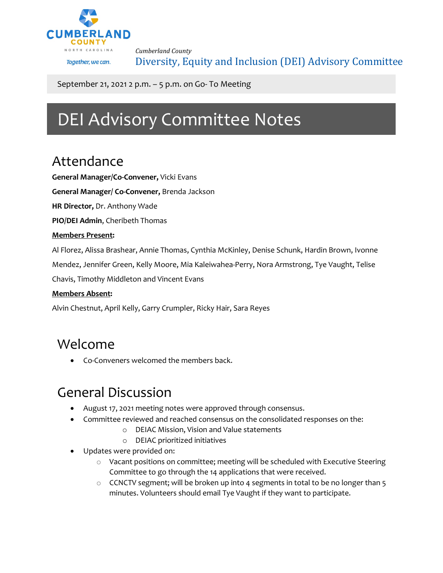

*Cumberland County* Diversity, Equity and Inclusion (DEI) Advisory Committee

September 21, 2021 2 p.m. – 5 p.m. on Go- To Meeting

# DEI Advisory Committee Notes

### Attendance

**General Manager/Co-Convener,** Vicki Evans

**General Manager/ Co-Convener,** Brenda Jackson

**HR Director,** Dr. Anthony Wade

**PIO/DEI Admin**, Cheribeth Thomas

#### **Members Present:**

Al Florez, Alissa Brashear, Annie Thomas, Cynthia McKinley, Denise Schunk, Hardin Brown, Ivonne

Mendez, Jennifer Green, Kelly Moore, Mia Kaleiwahea-Perry, Nora Armstrong, Tye Vaught, Telise

Chavis, Timothy Middleton and Vincent Evans

#### **Members Absent:**

Alvin Chestnut, April Kelly, Garry Crumpler, Ricky Hair, Sara Reyes

#### Welcome

• Co-Conveners welcomed the members back.

# General Discussion

- August 17, 2021 meeting notes were approved through consensus.
- Committee reviewed and reached consensus on the consolidated responses on the:
	- o DEIAC Mission, Vision and Value statements
	- o DEIAC prioritized initiatives
- Updates were provided on:
	- o Vacant positions on committee; meeting will be scheduled with Executive Steering Committee to go through the 14 applications that were received.
	- $\circ$  CCNCTV segment; will be broken up into 4 segments in total to be no longer than 5 minutes. Volunteers should email Tye Vaught if they want to participate.